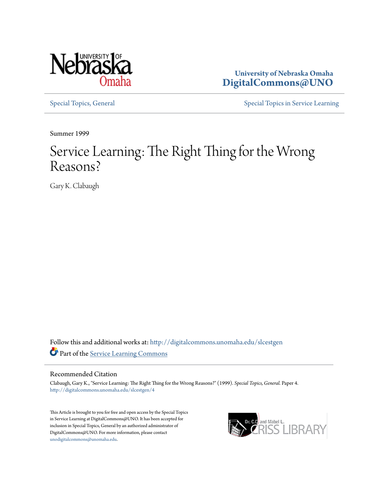

**University of Nebraska Omaha [DigitalCommons@UNO](http://digitalcommons.unomaha.edu?utm_source=digitalcommons.unomaha.edu%2Fslcestgen%2F4&utm_medium=PDF&utm_campaign=PDFCoverPages)**

[Special Topics, General](http://digitalcommons.unomaha.edu/slcestgen?utm_source=digitalcommons.unomaha.edu%2Fslcestgen%2F4&utm_medium=PDF&utm_campaign=PDFCoverPages) [Special Topics in Service Learning](http://digitalcommons.unomaha.edu/slcespecialtopics?utm_source=digitalcommons.unomaha.edu%2Fslcestgen%2F4&utm_medium=PDF&utm_campaign=PDFCoverPages)

Summer 1999

# Service Learning: The Right Thing for the Wrong Reasons?

Gary K. Clabaugh

Follow this and additional works at: [http://digitalcommons.unomaha.edu/slcestgen](http://digitalcommons.unomaha.edu/slcestgen?utm_source=digitalcommons.unomaha.edu%2Fslcestgen%2F4&utm_medium=PDF&utm_campaign=PDFCoverPages) Part of the [Service Learning Commons](http://network.bepress.com/hgg/discipline/1024?utm_source=digitalcommons.unomaha.edu%2Fslcestgen%2F4&utm_medium=PDF&utm_campaign=PDFCoverPages)

#### Recommended Citation

Clabaugh, Gary K., "Service Learning: The Right Thing for the Wrong Reasons?" (1999). *Special Topics, General.* Paper 4. [http://digitalcommons.unomaha.edu/slcestgen/4](http://digitalcommons.unomaha.edu/slcestgen/4?utm_source=digitalcommons.unomaha.edu%2Fslcestgen%2F4&utm_medium=PDF&utm_campaign=PDFCoverPages)

This Article is brought to you for free and open access by the Special Topics in Service Learning at DigitalCommons@UNO. It has been accepted for inclusion in Special Topics, General by an authorized administrator of DigitalCommons@UNO. For more information, please contact [unodigitalcommons@unomaha.edu](mailto:unodigitalcommons@unomaha.edu).

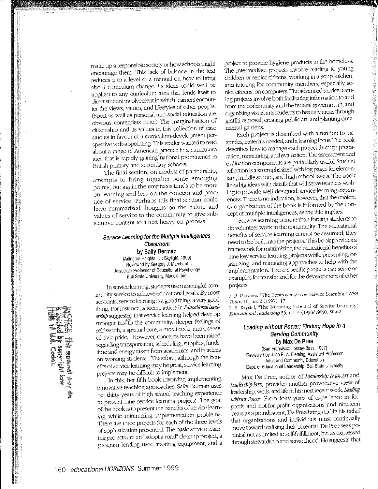make up a responsible society or how schools might encourage them. This lack of balance in the text reduces it to a level of a manual on how to bring about curriculum change. Its ideas could well be applied to any curriculum area that lends itself to direct student involvement in which learners encounter the views, values, and lifestyles of other people. (Sp01t as well as personal and social education are obvious contenders here.) The marginalisation of citizenship and its values in this collection of case studies in favour of a curriculum-development perspective is disappointing. 11lis reader wanted to read about a range of American practice in a cuniculum area that is rapidly gaining national prominence in British primary and secondaty schools.

The final section, on models of partnership, attempts to bring together some emerging points, but again the emphasis tends to be more on learning and less on the concept and practice of service. Perhaps this final section could have summarized thoughts on the nature and values of service to the community to give substantive content to a text heavy on process.

#### Service Learning for the Multiple Intelligences Classroom by Sally Berman (Arlington Heights, Ill.: Skylight, 1999) Reviewed by Gregory J. Marchant Associate Professor of Educational Psychology Ball State University, Muncie, Ind.

In service learning, students use meaningful community service to achieve educational goals. By most accounts, setvice learning is a good thing, a very good thing. For instance, a recent article in *Educational Lead-* $\mathit{ership}$  suggested that service learning helped develop stronger ties to the community, deeper feelings of self.worth, a spiritual core, a moral code, and a sense of civic pride. 1 However, concerns have been raised regarding transportation, scheduling, supplies, funds, time and energy taken from academics, and burdens on working students.<sup>2</sup> Therefore, although the benefits of setvice learning may be great, setvice leaming projects may be difficult to implement.

In this, her fifth book involving implementing innovative teaching approaches, Sally Berman uses her thirty years of high school teaching experience to present nine service learning projects. The goal of the book is to present the benefits of service learning while minimizing implementation problems. There are three projects for each of the three levels of sophistication presented. The basic service learning projects are an "adopt a road" cleanup project, a program lending used spotting equipment, and a

project to provide hygiene products to the homeless. The intermediate projects involve reading to young children or senior citizens, working in a soup kitchen, and tutoring for community members, especially senior citizens, on computers. The advanced service learning projects involve both facilitating information to and from the community and the federal government, and organizing visual arts students to beautify areas through graffiti removal, creating public art, and planting ornamental gardens.

Each project is described with attention to ex amples, materials needed, and a learning focus. The book describes how to manage each project through preparation, monitoring, and evaluation. The assessment and evaluation components are particularly usefuL Student reflection is also emphasized with log pages for elementary, middle school, and high school levels. The book links big ideas with details that will serve teachers wishing to provide well-designed setvice learning experiences. There is no indication, however, that the content or organization of the book is informed by the concept of multiple intelligences, as the title implies.

Service learning is more than forcing students to do volunteer work in the community. The educational benefits of setvice learnlng cannot be assumed; they need to be built into the projects. This book provides a framework for maximizing the educational benefits of nine key service learning projects while presenting, organizing, and managing approaches to help with the implementation. These specific projects can serve as examples for transfer and for the development of other projects.

1. B. Gardner, "The Controversy over Service Learning," *NEA Today16,* no. 2 (1997): 17,

2. S. Krystal, "The Nurturing Potential of Service Learning," *Educational I.eadersbip* 5\_6, no. 4 (1998/1999): SH--62.

#### Leading without Power: Finding Hope in a Serving Community by Max De Pree

(San Francisco: Jossey-Bass, 1997) Reviewed by Jean E. A. Fleming, Assistant Professor Adult and Community Education Dept. of Educational Leadership, Ball State University

Max De Pree, author of *Leadership Is an Art* and *Leadm,hip jazz,* provides anodrer provocative view of leadership, work, and life in his most recent work, *Leading* without Power. From forty years of experience in forprofit and not-for-profit organizations and nineteen years as a grandparent, De Pree brings to life his belief that organizations and individuals must continually move toward realizing their potential. De Free sees potential not as limited to self-fulfillment, but as expressed through stewardship and servanthood. He suggests that

**The members** for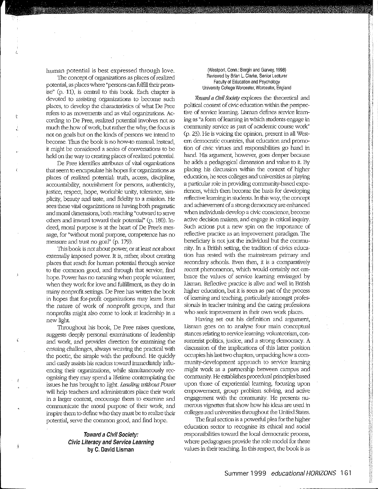human potential is best expressed through love.

The concept of organizations as places of realized potential, as places where "persons can fulfill their promise" (p. 11), is central to this book Each chapter is devoted to assisting organizations to become such places, to develop the characteristics of what De Free refers to as movements and as vital organizations. According to De Free, realized potential involves not so much the how of work, but rather the why; the focus is not on goals but on the kinds of persons we intend to become. Thus the book is no how-to manual. Instead, it might be considered a series of conversations to be held on the way to creating places of realized potential.

De Free identifies attributes of vital organizations that seem to encapsulate his hopes for organizations as places of realized potential: truth, access, discipline, accountability, nourishment for persons, authenticity, justice, respect, hope, workable unity, tolerance, simplicity, beauty and taste, and fidelity to a mission. He sees these vital organizations as having both pragmatic and moral dimensions, both reaching "outward to setve others and inward toward their potential" (p. 180). Indeed, moral purpose is at the heart of De Pree's message, for "without moral purpose, competence has no measure and trust no goal" (p. 179).

This book is not about power, or at least not about extemally imposed power. It is, rather, about creating places that reach for human potential through servlce to the common good, and through that setvice, find hope. Power has no meaning when people volunteer, when they work for love and fulfillment, as they do in many nonprofit settings. De Pree has written the book in hopes that for-profit organizations may learn from the nature of work of nonprofit groups, and that nonprofits might also come to look at leadership in a new light.

Throughout his book, De Pree raises questions, suggests deeply personal examinations of leadership and work, and provides direction for exanlining the ensuing challenges, always weaving the practical with the poetic, the simple with the profound. He quickly and easily asslsts his readers toward immecliately influencing their organizations, while simultaneously recognizing they may spend a lifetime contemplating the issues he has brought to light. Leading witbout Power will help teachers and administrators place their work in a larger context, encourage them to examine and communicate the moral purpose of their work, and inspire them to define who they must be to realize their potential, serve the common good, and find hope.

#### Toward a Civil Society: Civic Literacy and Service Learning by C. David Lisman

(Westport, Conn.: Bergin and Garvey, 1998) Reviewed by Brian L. Clarke, Senior Lecturer Faculty of Education and Psychology University College Worcester, Worcester, England

*Toward a Civil Society* explores the theoretical and political context of civic education within the petspective of service learning. Lisman defines service learning as "a fonn of learning in which students engage in community setvice as part of academic course work"  $(p. 23)$ . He is voicing the opinion, present in all Western democratic countries, that education and promotion of dvic vittues and responsibilities go hand in hand. His argument, however, goes deeper because he adds a pedagogical dimension and value to it. By placing his discussion within the context of higher education, he sees colleges and universities as playing a patticular role in providing community-based experiences, which then become the basis for developing reflective learning in students. In this way, the concept and achievement of a strong democracy are enhanced when individuals develop a civic conscience, become active decision makers, and engage in critical inquiry. Such actions put a new spin on the importance of reflective practice as an irnprovement paradigm. The beneflciaty is not just the individual but the community. In a British setting, the tradition of civics education has rested with the mainstream primaty and secondary schools. Even then, it is a comparatively recent phenomenon, which would certainly not embrace the values of service learning envisaged by Lisman. Reflective practice is alive and well in Btitish higher education, but it is seen as part of the process of learning and teaching, particularly amongst professionals in teacher training and the caring professions. who seek improvement in their own work places.

Having set out his definition and argument, Lisman goes on to analyse four main conceptual stances relating to setvice learning: volunteerism, consumerist politics, justice, and a strong democracy. A discussion of the implications of this latter position occupies his last two chapters, unpacking how a community-development approach to service learning might work as a partnership between campus and community. He establishes proceduml principles based upon those of experiential learning, focusing upon empowerment, group problem solving, and active engagement with the community. He presents numerous vignettes that show how his ideas are used in colleges and universities throughout the United States.

The final section is a powerful plea for the higher education sector to recognise its ethical and social responsibilities toward the local democratic process, where pedagogues provide the role model for these values in their teaching. In this respect, the book is as j '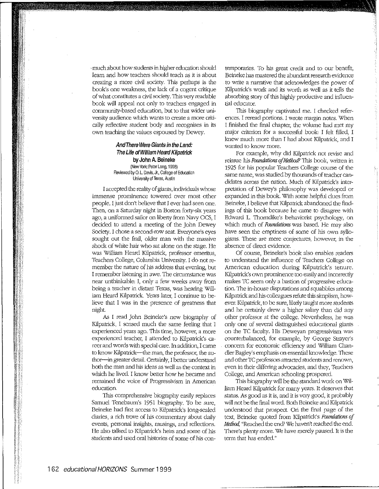, much about how students in higher education should learn and how teachers should teach as it is about creatiog a more civil society. This perhaps is the book's one weakness, the lack of a cogent critique of what constitutes a civil society. This very readable book will appeal not only to teacbers engaged in community-based education, but to that wider university audience which wants to create a more critically reflective student body and recognises in its own teaching the values espoused by Dewey.

#### And There Were Giants in the Land: The Life of William Heard Kilpatrick by John A. Beineke (New York: Peter Lang, 1998) Reviewed by O. L. Davis, Jr., College of Education University of Texas, Austin

I accepted the reality of giants, individuals whose immense prominence towered over most other people. I just don't believe that I ever had seen one. Then, on a Saturday night in Boston forty-six years ago, a uniformed sailor on liberty from Navy OCS, I decided to attend a meeting of the John Dewey Society. I chose a second-row seat. Evetyone's eyes sought out the frail, older man with the massive shock of white hair who sat alone on the stage. He was William Heard Kilpatrick, professor emeritus, Teachers College, Columbia University. I do not remember the nature of his address that evening, but I remember listening in awe. The circumstance was near unthinkable: I, only a few weeks away from being a teacher in distant Texas, was hearing William Heard Kilpatrick. Years later, I continue to believe that I was in the presence of greatness that night.

*AB* I read John Beineke's new biography of Kilpatrick, I sensed much the same feeling that I experienced years ago. This time, however, a more experienced teacher, I attended to Kilpatrick's career and words with special care. In addition, I came to know Kilpatrick--the man, the professor, the author-in greater detail. Certainly, I better understand both the man and his ideas as well as the context in which he lived. I know better how he became and remained the voice of Progressivism in American education.

This comprehensive biography easily replaces Samuel Tenebaum's 1951 biography. To *be* sure, Beineke had first access to Kilpattick's long-sealed diaries, a rich trove of his commentary about daily events, personal insights, musings, and reflections. He also talked to Kilpatrick's heirs and some of his students and used oral histories of some of his contemporaries. To his great credit and to our benefit, Beineke has mastered the abundant research evidence to write a narrative that acknowledges the power of Kilpatrick's work and its worth as well as it tells the absorbing story of this highly productive and influential educator.

This biography captivated me. I checked references. I reread portions. I wrote margin notes. When 1 finished the final chapter, the volume had met my major criterion for a successful book: I felt filled, I knew much more than I had about Kilpatrick, and I wanted to know more.

For example, why did Kilpatrick not revise and reissue his *Foundations of Method?* This book, written in 1925 for his popular 'reachers College course of the same name, was studied by thousands of teacher candidates across the nation. Much of Kilpatrick's interpretation of *Dewey's* philosophy was developed or expanded in this book. With some helpful clues from Beineke, I believe that Kilpatrick abandoned the findings of this book because he came to disagree with Edward L. Thorndike's behaviorist psychology, on wluch much of *Foundations* was based. He may also have seen the emptiness of some of his own syllogisms. These are mere conjectures, however, in the absence of direct evidence.

Of course, Reineke's book also enables readers to understand the influence of Teachers College on American education during Kilpatrick's tenure. Kilpattick's own prominence too easily and incorrectly makes TC seem only a bastion of progressive education. The in-house disputations and squabbles among Kilpatrick and his colleagues refute this simplism, however. Kilpatrick, to be sure, likely taught more students and he certainly drew a higher salary than did any other professor at the college. Nevertheless, he was only one of several distinguished educational giants on the TC faculty. His Deweyan progressivism was counterbalanced, for example, by George Strayer's concern for economic efficiency and William Chandler Bagley's emphasis on essential knowledge. These and other TC professors attracted students and renovvn, even in their differing advocacies, and they, Teachers College, and American schooling prospered.

This biography will be the standard work on William Heard Kilpatrick for many years. It deserves that status. As good as it is, and it is very good, it probably will not be the final word. Both Beineke and Kilpatrick understood that prospect. On the final page of the text, Beineke quoted from Kilpatrid<'s *Foundations of Method,* "Reached the end? We haven't reached the end. There's plenty more. We have merely paused. It is the term that has ended."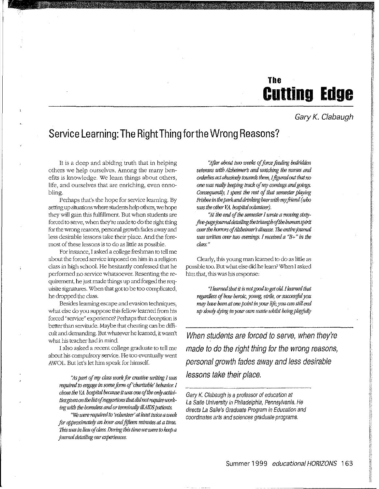## The **Cutting Edge**

Gary K. Clabaugh

### Service Learning: The RightThing for the Wrong Reasons?

It is a deep and abiding truth that in helping others we help ourselves. Among the many benefits is knowledge. We learn things about others, life, and ourselves that are enriching, even ennobling.

Perhaps that's the hope for service learning. By setting up situations where students help others, we hope they will gain this fulfillment. But when students are forced to serve, when they're made to do the right thing for the wrong reasons, personal growfu fades away and less desirable lessons take their place. And the foremost of these lessons is to do as little as possible.

For instance, I asked a college freslunan to tell me about the forced service imposed on him in a religion class in high school. He hesitantly confessed that be performed no service whatsoever. Resenting the requirement, he just made things up and forged the requisite signatures. When that got to be too complicated, he dropped the class.

Besides learning escape and evasion techniques, what else do you suppose this fellow learned from his forced "service" experience? Perhaps that deception is better than servitude. Maybe that cheating can be difficult and demanding. But whatever he leamed, it wasn't what his teacher had in mind

I also asked a recent college graduate to tell me about his compulsoty setvice. He too eventually went AWOL. But let's let him speak for himself.

*':4s pmt of nry class work* fo•· *creative writing I was required to engage in some form of 'charitable' behavior. I* chose the *VA*. hospital because it was one of the only activities given on the list of suggestions that did not require work*ing with the homeless and or terminally ill AIDS patients.* 

*"We were required to 'wlunteer' at /ecii,t twice a week for approximately an hour and fifteen minutes at a time. JUs was in lieu* 'If *class. During this time we were to keep a journal detailing our experiences.* 

*"Afler about* two *weeks. of force feeding hed1itlden veterans with Alzheimer's and watching the nurses and on:lerltes act abusively towards them,* Iflgw~d *out that no one was really keeping track of my comings and goings. Consequently, I spent the rest of that semester playing Msbeein tbe park and drinking heerwith my .fiiend (who was the other VA. hospital wlunteei).* 

"At the end of the semester I wrote a moving stxty*flve-pagejoumaltlellliling the triumph'lfthe human spirit over the horrors of Alzheimer's disease. The entire journal was WJitten over two evenings. I received a "B+" in the class."* 

Clearly, this young man learned to do as little as possible too. But what else did he learn? When I asked bitn that, this was his response:

*"I learned that it is not good to get old. I learned that regardless of how hemic, young, vilile, or succesiful you may have been at one point in your life, you can still end up slowly dying in your own waste whilst being playfully* 

When students are forced to serve, when they're made to do the right thing for the wrong reasons, personal growth fades away and less desirable lessons take their place.

Gary K. Clabaugh is a professor of education at La Salle University in Philadelphia, Pennsylvania. He directs La Salle's Graduate Program in Education and coordinates arts and sciences graduate programs.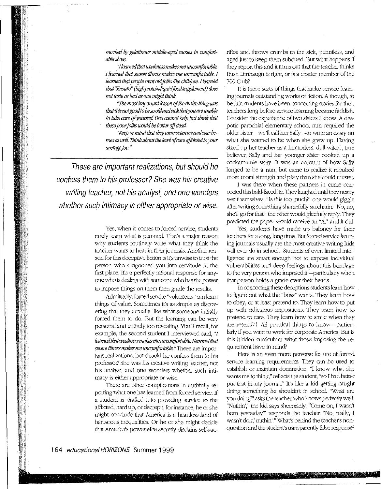mocked by gelatinous middle-aged nurses in comfort*ab/eshoes.* 

*'11earned thatweaknessmakesmeuncott!forlllble. !learned that sewre illness makes me U1u;on1fmtakle. I learned that people treat old folks like children. I learned that'1!nsure" (high pmteinliquitlfoodsupplement) does not fc<>le as bad as one migbt think.* 

*"1be most impwtant lesson of the entim thing was thetit is not good to* be *so old ant/;ick tbatyou are unable to take care of yourself. One cannot help but think that these poorfolks UJO!i!d* be *better 'Iff dead* 

*"Keep in mind that they were veterans and war heroes as* well. Jbink *about tbe level qf ca1v qffmrled to your amrage]oe.* "

These are important realizations, but should he confess them to his professor? She was his creative writing teacher, not his analyst, and one wonders whether such intimacy is either appropriate or wise.

> Yes, when it comes to forced setvice, students rarely learn what is planned. That's a major reason why students routinely write what they think the teacher wants to hear in their journals. Another reason for this deceptive fiction is it's unwise to trust the person who dragooned you into setvitude in the first place. Irs a perfectly rational response for anyone who is dealing with someone who has the power to impose things on them then grade the results.

> Admittedly, forced service "volunteers" can learn things of value. Sometimes it's as simple as discovering that they actually like what someone initially forced them to do. But the learning can be very personal and entirely too revealing. You'll recall, for example, the second student I interviewed said,  $\mathcal I$ *learnedtbatweaknessmakesmeuncomjOI'table.IIearned that sevem /Uness makesmeuncon1fortable.* "These are important realizations, but should he confess them to his professor? She was his creative writing teacher, not his analyst, and one wonders whether such intimacy is either appropriate or wise.

> There are other complications in truthfully repotting what one has learned from forced setvice. If a student is drafted into providing service to the afflietecl, hard up, or decrepit, for instance, he or she might conclude that America is a heartless land of barbarous inequalities. Or he or she might decide that America's power elite secretly disdains self-sac

rifice and throws crumbs to the sid<, penniless, and aged just to keep them subdued. But what happens if they report this and it turns out that the teacher thinks Rush Limbaugh is right, or is a charter member of the 700 Club?

It is these sorts of things that make service learning journals outstanding worl<s of fiction. Although, to be fair, students have been concocting stories for their teachers long before service learning became faddish. Consider the experience of two sisters I know. A despotic parochial elementary school nun required the older sister-we'll call her Sally-to write an essay on what she wanted to be when she grew up. Having sized up her teacher as a humorless, dull-witted, true believer, Sally and her younger sister cooked up a cockamamie story. It was an account of how Sally longed to be a nun, but came to realize it required more moral strength and piety than she could muster.

I was there when these partners in crime concocted this bald-faced lie. They laughed until they nearly wet themselves. "Is this too much?" one would giggle after writing something shamefully saccharin. "No, no, she'll go for that!" the other would gleefully reply. They preclicted the paper would receive an "A," and it did.

Yes, students have made up baloney for their teachers for a long, long time. But forced service learning journals usually are the most creative writing kids will ever do in school. Students of even limited intelligence arc smart enough not to expose individual vulnerabilities and deep feelings about this bondage to the very person who imposed it-particularly when that person holds a grade over their heads.

In concocting these deceptions students learn how to figure out what the "boss" wants. "They learn how to obey, or at least pretend to. They learn how to put up with ridiculous impositions. They learn how to pretend to care. They learn how to smile when they are resentful. All practical things to know--particularly if you want to work for corporate America. But is this hidden curriculum what those imposing the requirement have in mind?

Here is an even more perverse feature of forced service learning requirements. They can be used to establish or maintain domination. "I know what she wants me to think," reflects the student, "so I had better put that in my journal." It's like a kid getting caught doing something he shouldn't in school. "What are you doing?" asks the teacher, who knows perfectly well. "Nuthin'," the kid says sheepishly. ''Come on, I wasn't bom yesterday!" responds the teacher: "No, really, I wasn't doin' nuthin'." What's behind the teacher's nonquestion and the student's transparently false response?

II. [,. **Internet**